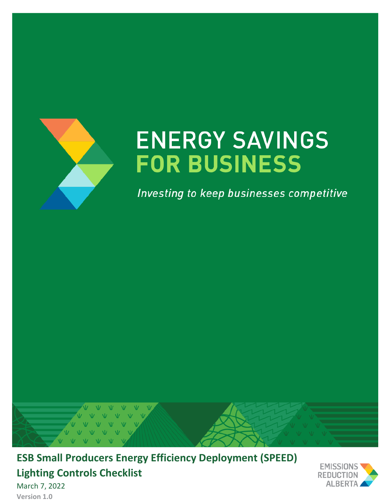

# **ENERGY SAVINGS FOR BUSINESS**

Investing to keep businesses competitive



**ESB Small Producers Energy Efficiency Deployment (SPEED) Lighting Controls Checklist** March 7, 2022



**Version 1.0**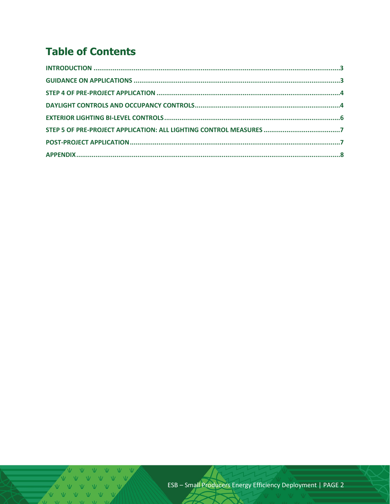# **Table of Contents**

V V V V V V V  $V$   $V$   $V$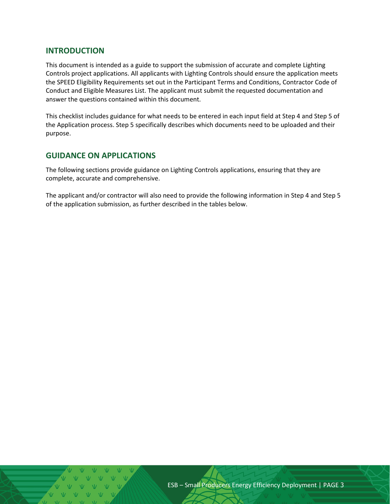## <span id="page-2-0"></span>**INTRODUCTION**

This document is intended as a guide to support the submission of accurate and complete Lighting Controls project applications. All applicants with Lighting Controls should ensure the application meets the SPEED Eligibility Requirements set out in the Participant Terms and Conditions, Contractor Code of Conduct and Eligible Measures List. The applicant must submit the requested documentation and answer the questions contained within this document.

This checklist includes guidance for what needs to be entered in each input field at Step 4 and Step 5 of the Application process. Step 5 specifically describes which documents need to be uploaded and their purpose.

## <span id="page-2-1"></span>**GUIDANCE ON APPLICATIONS**

The following sections provide guidance on Lighting Controls applications, ensuring that they are complete, accurate and comprehensive.

The applicant and/or contractor will also need to provide the following information in Step 4 and Step 5 of the application submission, as further described in the tables below.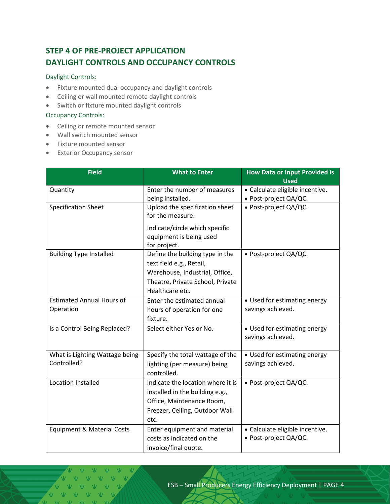# <span id="page-3-1"></span><span id="page-3-0"></span>**STEP 4 OF PRE-PROJECT APPLICATION DAYLIGHT CONTROLS AND OCCUPANCY CONTROLS**

#### Daylight Controls:

- Fixture mounted dual occupancy and daylight controls
- Ceiling or wall mounted remote daylight controls
- Switch or fixture mounted daylight controls

#### Occupancy Controls:

- Ceiling or remote mounted sensor
- Wall switch mounted sensor
- Fixture mounted sensor
- Exterior Occupancy sensor

| <b>Field</b>                                  | <b>What to Enter</b>                                                                                                                                 | <b>How Data or Input Provided is</b><br><b>Used</b>      |  |
|-----------------------------------------------|------------------------------------------------------------------------------------------------------------------------------------------------------|----------------------------------------------------------|--|
| Quantity                                      | Enter the number of measures<br>being installed.                                                                                                     | • Calculate eligible incentive.<br>• Post-project QA/QC. |  |
| <b>Specification Sheet</b>                    | Upload the specification sheet<br>for the measure.<br>Indicate/circle which specific<br>equipment is being used<br>for project.                      | • Post-project QA/QC.                                    |  |
| <b>Building Type Installed</b>                | Define the building type in the<br>text field e.g., Retail,<br>Warehouse, Industrial, Office,<br>Theatre, Private School, Private<br>Healthcare etc. | • Post-project QA/QC.                                    |  |
| <b>Estimated Annual Hours of</b><br>Operation | Enter the estimated annual<br>hours of operation for one<br>fixture.                                                                                 | • Used for estimating energy<br>savings achieved.        |  |
| Is a Control Being Replaced?                  | Select either Yes or No.                                                                                                                             | • Used for estimating energy<br>savings achieved.        |  |
| What is Lighting Wattage being<br>Controlled? | Specify the total wattage of the<br>lighting (per measure) being<br>controlled.                                                                      | • Used for estimating energy<br>savings achieved.        |  |
| <b>Location Installed</b>                     | Indicate the location where it is<br>installed in the building e.g.,<br>Office, Maintenance Room,<br>Freezer, Ceiling, Outdoor Wall<br>etc.          | · Post-project QA/QC.                                    |  |
| <b>Equipment &amp; Material Costs</b>         | Enter equipment and material<br>costs as indicated on the<br>invoice/final quote.                                                                    | · Calculate eligible incentive.<br>• Post-project QA/QC. |  |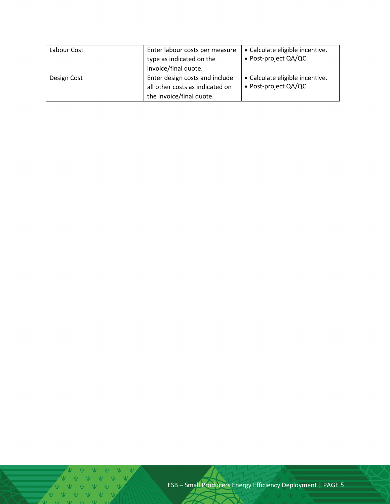| Labour Cost | Enter labour costs per measure<br>type as indicated on the<br>invoice/final quote.            | • Calculate eligible incentive.<br>• Post-project QA/QC. |
|-------------|-----------------------------------------------------------------------------------------------|----------------------------------------------------------|
| Design Cost | Enter design costs and include<br>all other costs as indicated on<br>the invoice/final quote. | • Calculate eligible incentive.<br>• Post-project QA/QC. |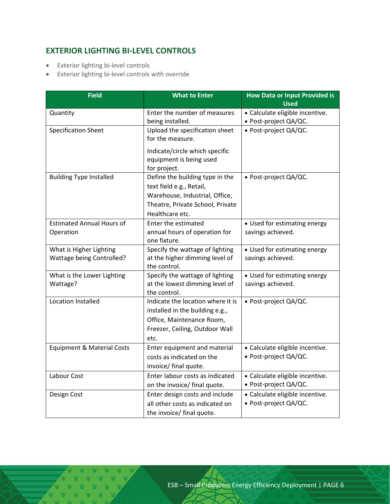# <span id="page-5-0"></span>**EXTERIOR LIGHTING BI-LEVEL CONTROLS**

- Exterior lighting bi-level controls
- Exterior lighting bi-level controls with override

| <b>Field</b>                          | <b>What to Enter</b>                           | <b>How Data or Input Provided is</b><br><b>Used</b> |  |
|---------------------------------------|------------------------------------------------|-----------------------------------------------------|--|
| Quantity                              | Enter the number of measures                   | • Calculate eligible incentive.                     |  |
|                                       | being installed.                               | • Post-project QA/QC.                               |  |
| <b>Specification Sheet</b>            | Upload the specification sheet                 | · Post-project QA/QC.                               |  |
|                                       | for the measure.                               |                                                     |  |
|                                       | Indicate/circle which specific                 |                                                     |  |
|                                       | equipment is being used                        |                                                     |  |
|                                       | for project.                                   |                                                     |  |
| <b>Building Type Installed</b>        | Define the building type in the                | • Post-project QA/QC.                               |  |
|                                       | text field e.g., Retail,                       |                                                     |  |
|                                       | Warehouse, Industrial, Office,                 |                                                     |  |
|                                       | Theatre, Private School, Private               |                                                     |  |
|                                       | Healthcare etc.                                |                                                     |  |
| <b>Estimated Annual Hours of</b>      | Enter the estimated                            | • Used for estimating energy                        |  |
| Operation                             | annual hours of operation for                  | savings achieved.                                   |  |
|                                       | one fixture.                                   |                                                     |  |
| What is Higher Lighting               | Specify the wattage of lighting                | • Used for estimating energy                        |  |
| Wattage being Controlled?             | at the higher dimming level of<br>the control. | savings achieved.                                   |  |
| What is the Lower Lighting            | Specify the wattage of lighting                | • Used for estimating energy                        |  |
| Wattage?                              | at the lowest dimming level of                 | savings achieved.                                   |  |
|                                       | the control.                                   |                                                     |  |
| Location Installed                    | Indicate the location where it is              | • Post-project QA/QC.                               |  |
|                                       | installed in the building e.g.,                |                                                     |  |
|                                       | Office, Maintenance Room,                      |                                                     |  |
|                                       | Freezer, Ceiling, Outdoor Wall                 |                                                     |  |
|                                       | etc.                                           |                                                     |  |
| <b>Equipment &amp; Material Costs</b> | Enter equipment and material                   | · Calculate eligible incentive.                     |  |
|                                       | costs as indicated on the                      | • Post-project QA/QC.                               |  |
|                                       | invoice/ final quote.                          |                                                     |  |
| Labour Cost                           | Enter labour costs as indicated                | · Calculate eligible incentive.                     |  |
|                                       | on the invoice/ final quote.                   | • Post-project QA/QC.                               |  |
| Design Cost                           | Enter design costs and include                 | · Calculate eligible incentive.                     |  |
|                                       | all other costs as indicated on                | · Post-project QA/QC.                               |  |
|                                       | the invoice/ final quote.                      |                                                     |  |

V V V V  $V = V - V$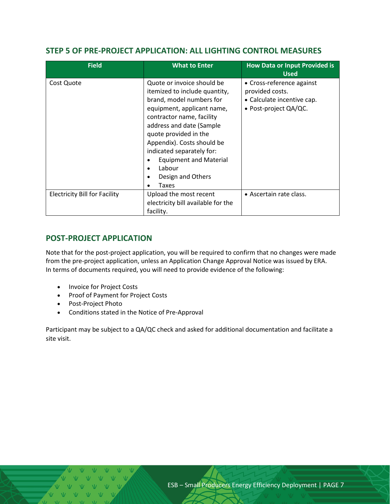# <span id="page-6-0"></span>**STEP 5 OF PRE-PROJECT APPLICATION: ALL LIGHTING CONTROL MEASURES**

| <b>Field</b>                         | <b>What to Enter</b>                                                                                                                                                                                                                                                                                          | <b>How Data or Input Provided is</b><br><b>Used</b>                                                    |  |
|--------------------------------------|---------------------------------------------------------------------------------------------------------------------------------------------------------------------------------------------------------------------------------------------------------------------------------------------------------------|--------------------------------------------------------------------------------------------------------|--|
| Cost Quote                           | Quote or invoice should be<br>itemized to include quantity,<br>brand, model numbers for<br>equipment, applicant name,<br>contractor name, facility<br>address and date (Sample<br>quote provided in the<br>Appendix). Costs should be<br>indicated separately for:<br><b>Equipment and Material</b><br>Labour | • Cross-reference against<br>provided costs.<br>• Calculate incentive cap.<br>• Post-project $QA/QC$ . |  |
|                                      | Design and Others<br>٠<br>Taxes<br>٠                                                                                                                                                                                                                                                                          |                                                                                                        |  |
| <b>Electricity Bill for Facility</b> | Upload the most recent<br>electricity bill available for the<br>facility.                                                                                                                                                                                                                                     | • Ascertain rate class.                                                                                |  |

# <span id="page-6-1"></span>**POST-PROJECT APPLICATION**

Note that for the post-project application, you will be required to confirm that no changes were made from the pre-project application, unless an Application Change Approval Notice was issued by ERA. In terms of documents required, you will need to provide evidence of the following:

- Invoice for Project Costs
- Proof of Payment for Project Costs
- Post-Project Photo
- Conditions stated in the Notice of Pre-Approval

Participant may be subject to a QA/QC check and asked for additional documentation and facilitate a site visit.